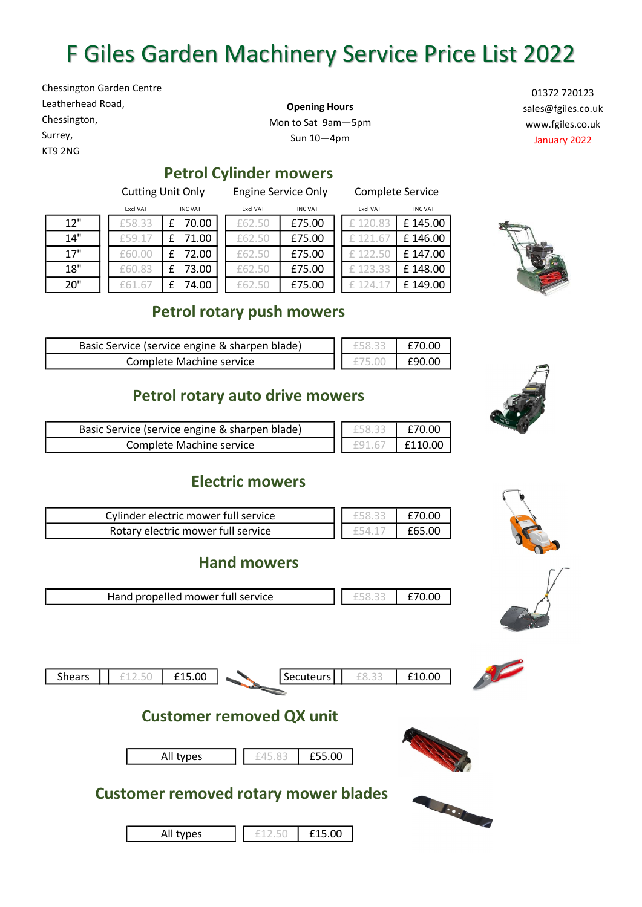# F Giles Garden Machinery Service Price List 2022

Chessington Garden Centre Leatherhead Road, Chessington, Surrey,

KT9 2NG

**Opening Hours** Mon to Sat 9am—5pm Sun 10—4pm

01372 720123 sales@fgiles.co.uk www.fgiles.co.uk January 2022

## **Petrol Cylinder mowers**

Cutting Unit Only Engine Service Only Complete Service

|     | <b>Excl VAT</b> | <b>INC VAT</b> | <b>Excl VAT</b> | <b>INC VAT</b> | <b>Excl VAT</b> | <b>INC VAT</b> |
|-----|-----------------|----------------|-----------------|----------------|-----------------|----------------|
| 12" | £58.33          | 70.00          | £62.50          | £75.00         |                 | £145.00        |
| 14" | £59.17          | 71.00          | £62.50          | £75.00         |                 | £146.00        |
| 17" | £60.00          | 72.00          | £62.50          | £75.00         |                 | £147.00        |
| 18" | £60.83          | 73.00          | £62.50          | £75.00         | 123.            | £148.00        |
| 20" |                 | 74.00          | f62.50          | £75.00         |                 | £149.00        |

| Excl VAT | <b>INC VAT</b> |       | Excl VAT | <b>INC VAT</b> | <b>Excl VAT</b> | <b>INC VAT</b> |
|----------|----------------|-------|----------|----------------|-----------------|----------------|
| 58.33    |                | 70.00 | £62.50   | £75.00         |                 | £145.0         |
| 59.17    |                | 71.00 | £62.50   | £75.00         |                 | £146.0         |
| 60.00    |                | 72.00 | £62.50   | £75.00         |                 | £147.0         |
| 60.83    |                | 73.00 | £62.50   | £75.00         | £123.33         | £148.0         |
| 61.67    |                | 74.00 |          | £75.00         |                 | £149.0         |

| <b>Excl VAT</b> | <b>INC VAT</b> |
|-----------------|----------------|
|                 | £145.00        |
|                 | £146.00        |
|                 | £147.00        |
|                 | £148.00        |
|                 | £149.00        |



## **Petrol rotary push mowers**

| Basic Service (service engine & sharpen blade) | £70.00 |
|------------------------------------------------|--------|
| Complete Machine service                       | f90 i  |

## **Petrol rotary auto drive mowers**

| Basic Service (service engine & sharpen blade) | F58.33 | £70.00  |
|------------------------------------------------|--------|---------|
| Complete Machine service                       |        | £110.00 |

## **Electric mowers**

| Cylinder electric mower full service | £70.00 |
|--------------------------------------|--------|
| Rotary electric mower full service   | £65.00 |

#### **Hand mowers**





| <b>Shears</b> | - | $  -$<br>00.ر | Secuteurs | £10.00 |  |
|---------------|---|---------------|-----------|--------|--|
|               |   |               |           |        |  |

# **Customer removed QX unit**









All types

£12.50 £15.00